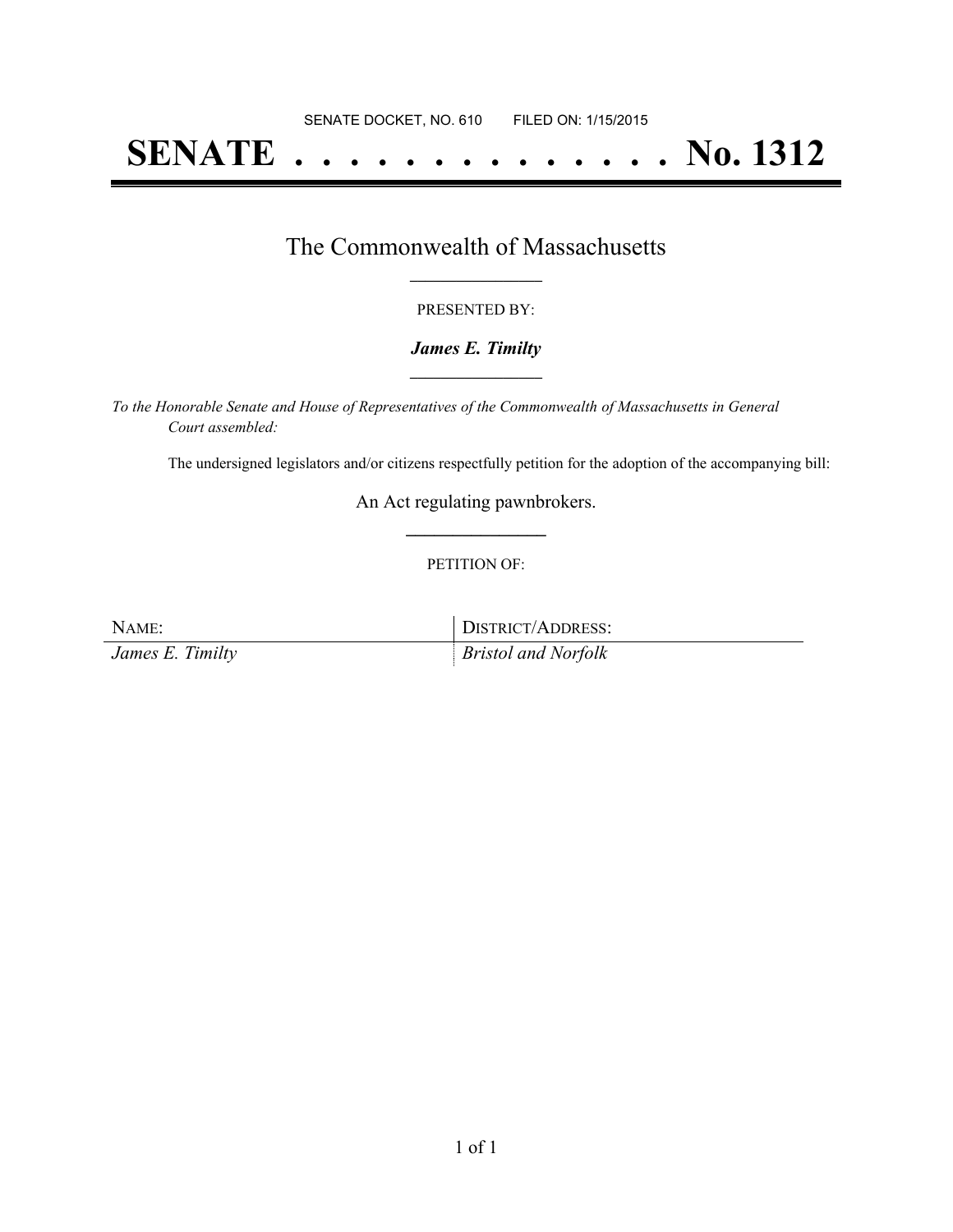# **SENATE . . . . . . . . . . . . . . No. 1312**

### The Commonwealth of Massachusetts **\_\_\_\_\_\_\_\_\_\_\_\_\_\_\_\_\_**

#### PRESENTED BY:

#### *James E. Timilty* **\_\_\_\_\_\_\_\_\_\_\_\_\_\_\_\_\_**

*To the Honorable Senate and House of Representatives of the Commonwealth of Massachusetts in General Court assembled:*

The undersigned legislators and/or citizens respectfully petition for the adoption of the accompanying bill:

An Act regulating pawnbrokers. **\_\_\_\_\_\_\_\_\_\_\_\_\_\_\_**

#### PETITION OF:

NAME: DISTRICT/ADDRESS:

*James E. Timilty Bristol and Norfolk*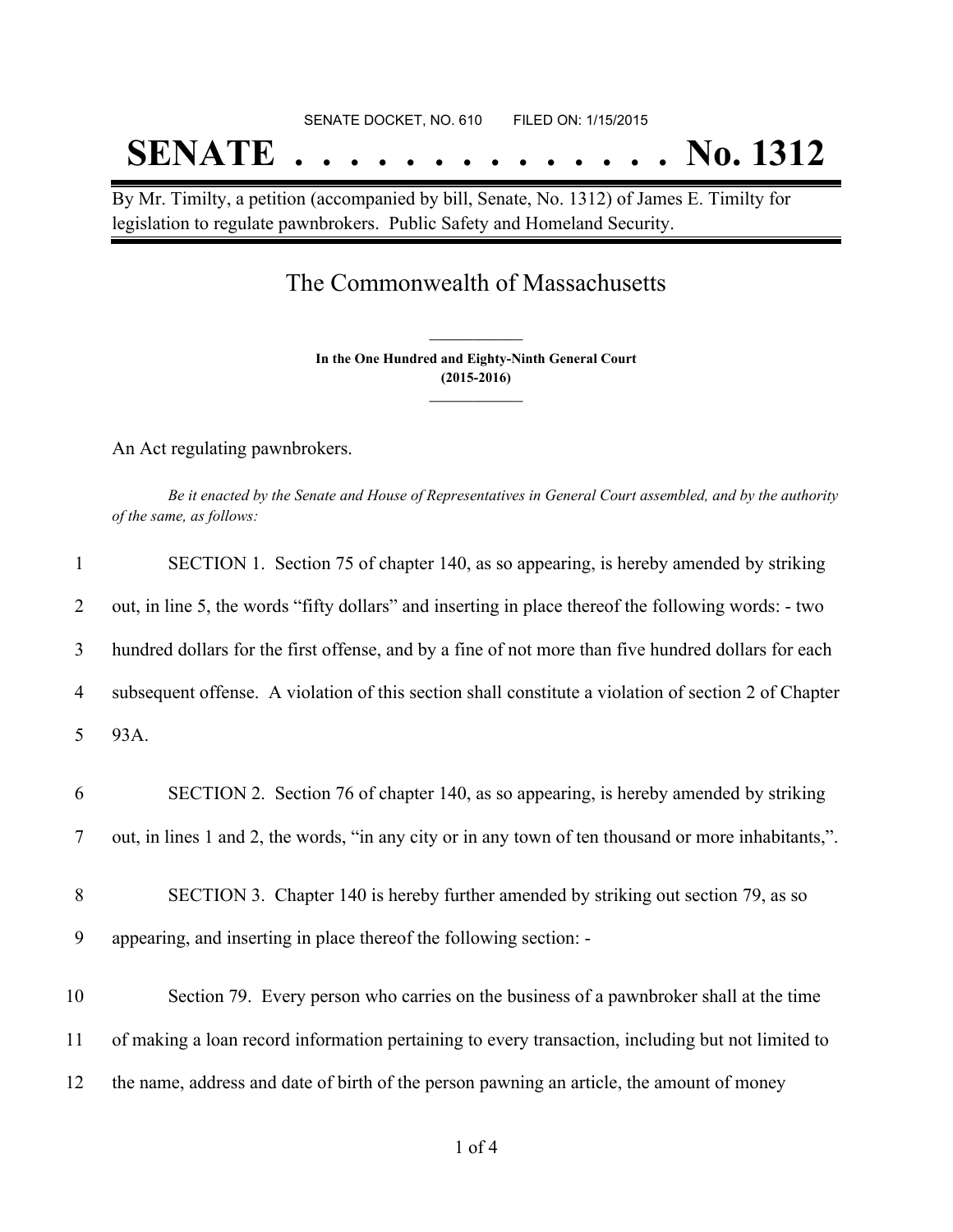# SENATE DOCKET, NO. 610 FILED ON: 1/15/2015 **SENATE . . . . . . . . . . . . . . No. 1312**

By Mr. Timilty, a petition (accompanied by bill, Senate, No. 1312) of James E. Timilty for legislation to regulate pawnbrokers. Public Safety and Homeland Security.

## The Commonwealth of Massachusetts

**In the One Hundred and Eighty-Ninth General Court (2015-2016) \_\_\_\_\_\_\_\_\_\_\_\_\_\_\_**

**\_\_\_\_\_\_\_\_\_\_\_\_\_\_\_**

An Act regulating pawnbrokers.

Be it enacted by the Senate and House of Representatives in General Court assembled, and by the authority *of the same, as follows:*

| $\mathbf{1}$   | SECTION 1. Section 75 of chapter 140, as so appearing, is hereby amended by striking                 |
|----------------|------------------------------------------------------------------------------------------------------|
| 2              | out, in line 5, the words "fifty dollars" and inserting in place thereof the following words: - two  |
| 3              | hundred dollars for the first offense, and by a fine of not more than five hundred dollars for each  |
| $\overline{4}$ | subsequent offense. A violation of this section shall constitute a violation of section 2 of Chapter |
| 5              | 93A.                                                                                                 |
| 6              | SECTION 2. Section 76 of chapter 140, as so appearing, is hereby amended by striking                 |
| 7              | out, in lines 1 and 2, the words, "in any city or in any town of ten thousand or more inhabitants,". |
| 8              | SECTION 3. Chapter 140 is hereby further amended by striking out section 79, as so                   |
| 9              | appearing, and inserting in place thereof the following section: -                                   |
| 10             | Section 79. Every person who carries on the business of a pawnbroker shall at the time               |
| 11             | of making a loan record information pertaining to every transaction, including but not limited to    |
| 12             | the name, address and date of birth of the person pawning an article, the amount of money            |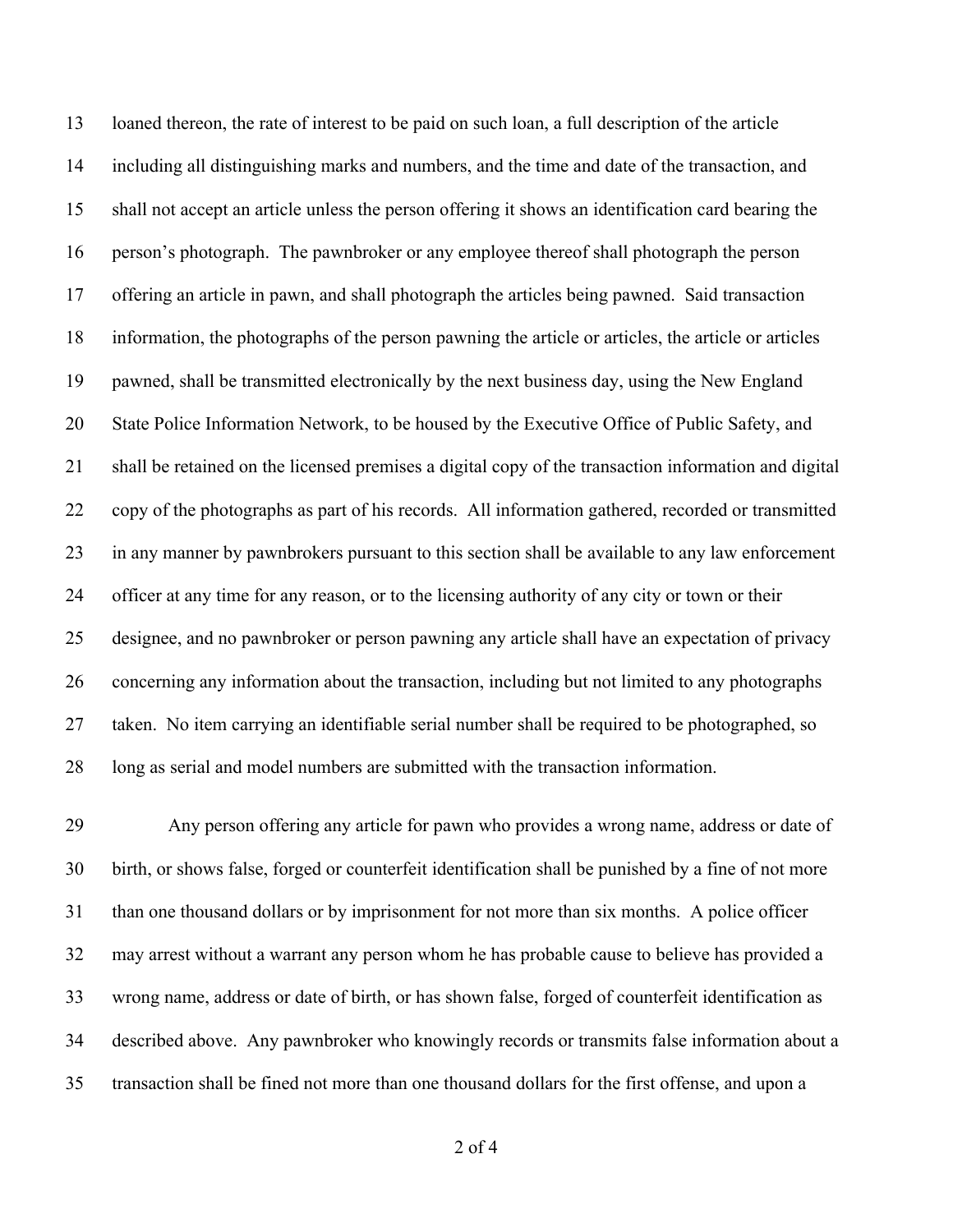loaned thereon, the rate of interest to be paid on such loan, a full description of the article including all distinguishing marks and numbers, and the time and date of the transaction, and shall not accept an article unless the person offering it shows an identification card bearing the person's photograph. The pawnbroker or any employee thereof shall photograph the person offering an article in pawn, and shall photograph the articles being pawned. Said transaction information, the photographs of the person pawning the article or articles, the article or articles pawned, shall be transmitted electronically by the next business day, using the New England State Police Information Network, to be housed by the Executive Office of Public Safety, and shall be retained on the licensed premises a digital copy of the transaction information and digital copy of the photographs as part of his records. All information gathered, recorded or transmitted in any manner by pawnbrokers pursuant to this section shall be available to any law enforcement officer at any time for any reason, or to the licensing authority of any city or town or their designee, and no pawnbroker or person pawning any article shall have an expectation of privacy concerning any information about the transaction, including but not limited to any photographs taken. No item carrying an identifiable serial number shall be required to be photographed, so long as serial and model numbers are submitted with the transaction information.

 Any person offering any article for pawn who provides a wrong name, address or date of birth, or shows false, forged or counterfeit identification shall be punished by a fine of not more than one thousand dollars or by imprisonment for not more than six months. A police officer may arrest without a warrant any person whom he has probable cause to believe has provided a wrong name, address or date of birth, or has shown false, forged of counterfeit identification as described above. Any pawnbroker who knowingly records or transmits false information about a transaction shall be fined not more than one thousand dollars for the first offense, and upon a

of 4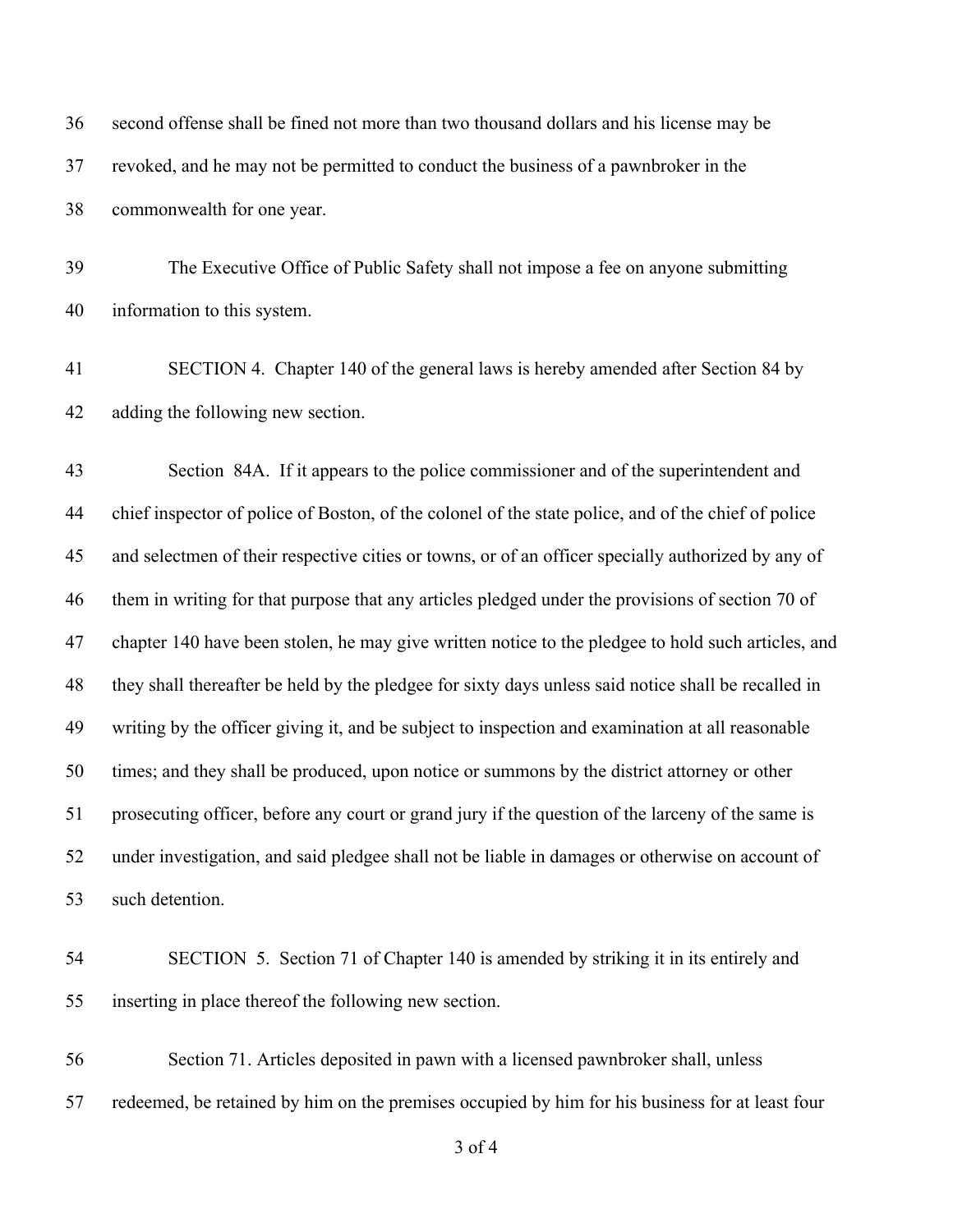second offense shall be fined not more than two thousand dollars and his license may be revoked, and he may not be permitted to conduct the business of a pawnbroker in the commonwealth for one year.

 The Executive Office of Public Safety shall not impose a fee on anyone submitting information to this system.

 SECTION 4. Chapter 140 of the general laws is hereby amended after Section 84 by adding the following new section.

 Section 84A. If it appears to the police commissioner and of the superintendent and chief inspector of police of Boston, of the colonel of the state police, and of the chief of police and selectmen of their respective cities or towns, or of an officer specially authorized by any of them in writing for that purpose that any articles pledged under the provisions of section 70 of chapter 140 have been stolen, he may give written notice to the pledgee to hold such articles, and they shall thereafter be held by the pledgee for sixty days unless said notice shall be recalled in writing by the officer giving it, and be subject to inspection and examination at all reasonable times; and they shall be produced, upon notice or summons by the district attorney or other prosecuting officer, before any court or grand jury if the question of the larceny of the same is under investigation, and said pledgee shall not be liable in damages or otherwise on account of such detention.

 SECTION 5. Section 71 of Chapter 140 is amended by striking it in its entirely and inserting in place thereof the following new section.

 Section 71. Articles deposited in pawn with a licensed pawnbroker shall, unless redeemed, be retained by him on the premises occupied by him for his business for at least four

of 4